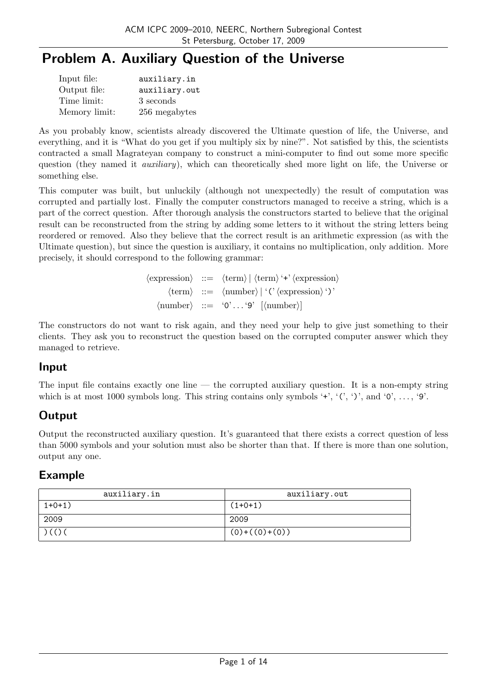# Problem A. Auxiliary Question of the Universe

| Input file:   | auxiliary.in  |
|---------------|---------------|
| Output file:  | auxiliary.out |
| Time limit:   | 3 seconds     |
| Memory limit: | 256 megabytes |

As you probably know, scientists already discovered the Ultimate question of life, the Universe, and everything, and it is "What do you get if you multiply six by nine?". Not satisfied by this, the scientists contracted a small Magrateyan company to construct a mini-computer to find out some more specific question (they named it *auxiliary*), which can theoretically shed more light on life, the Universe or something else.

This computer was built, but unluckily (although not unexpectedly) the result of computation was corrupted and partially lost. Finally the computer constructors managed to receive a string, which is a part of the correct question. After thorough analysis the constructors started to believe that the original result can be reconstructed from the string by adding some letters to it without the string letters being reordered or removed. Also they believe that the correct result is an arithmetic expression (as with the Ultimate question), but since the question is auxiliary, it contains no multiplication, only addition. More precisely, it should correspond to the following grammar:

> $\langle$  expression $\rangle$  ::=  $\langle$  term $\rangle$  |  $\langle$  term $\rangle$  '+'  $\langle$  expression $\rangle$  $\langle \text{term} \rangle$  ::=  $\langle \text{number} \rangle |$  '(' $\langle \text{expression} \rangle$ ')'  $\langle \text{number} \rangle$  ::= '0'...'9'  $[\langle \text{number} \rangle]$

The constructors do not want to risk again, and they need your help to give just something to their clients. They ask you to reconstruct the question based on the corrupted computer answer which they managed to retrieve.

## Input

The input file contains exactly one line — the corrupted auxiliary question. It is a non-empty string which is at most 1000 symbols long. This string contains only symbols '+', ' $(', ')$ ', and '0', ..., '9'.

## **Output**

Output the reconstructed auxiliary question. It's guaranteed that there exists a correct question of less than 5000 symbols and your solution must also be shorter than that. If there is more than one solution, output any one.

| auxiliary.in | auxiliary.out   |
|--------------|-----------------|
| $1+0+1)$     | $(1+0+1)$       |
| 2009         | 2009            |
| ) ( ( ) (    | $(0)+((0)+(0))$ |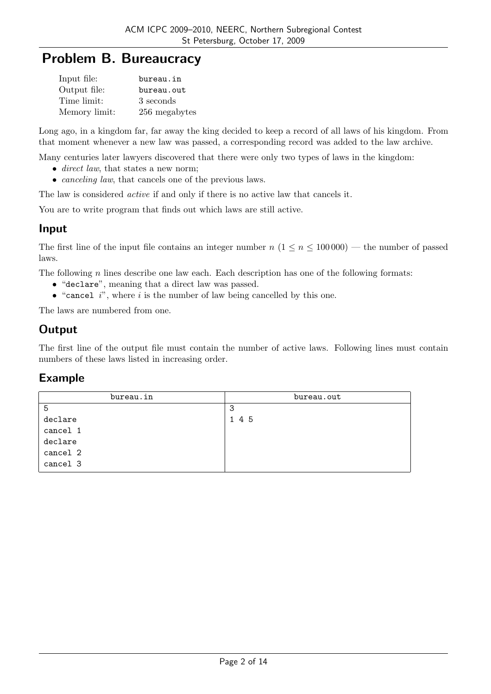## Problem B. Bureaucracy

| Input file:   | bureau.in     |
|---------------|---------------|
| Output file:  | bureau.out    |
| Time limit:   | 3 seconds     |
| Memory limit: | 256 megabytes |

Long ago, in a kingdom far, far away the king decided to keep a record of all laws of his kingdom. From that moment whenever a new law was passed, a corresponding record was added to the law archive.

Many centuries later lawyers discovered that there were only two types of laws in the kingdom:

- direct law, that states a new norm:
- *canceling law*, that cancels one of the previous laws.

The law is considered active if and only if there is no active law that cancels it.

You are to write program that finds out which laws are still active.

#### Input

The first line of the input file contains an integer number  $n (1 \le n \le 100000)$  — the number of passed laws.

The following  $n$  lines describe one law each. Each description has one of the following formats:

- "declare", meaning that a direct law was passed.
- "cancel  $i$ ", where  $i$  is the number of law being cancelled by this one.

The laws are numbered from one.

## **Output**

The first line of the output file must contain the number of active laws. Following lines must contain numbers of these laws listed in increasing order.

| bureau.in | bureau.out |
|-----------|------------|
| 5         | 3          |
| declare   | 1 4 5      |
| cancel 1  |            |
| declare   |            |
| cancel 2  |            |
| cancel 3  |            |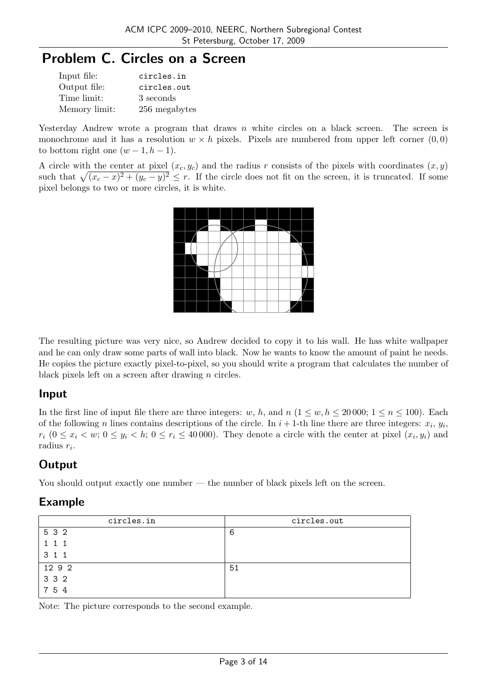# Problem C. Circles on a Screen

| Input file:   | circles.in    |
|---------------|---------------|
| Output file:  | circles.out   |
| Time limit:   | 3 seconds     |
| Memory limit: | 256 megabytes |

Yesterday Andrew wrote a program that draws n white circles on a black screen. The screen is monochrome and it has a resolution  $w \times h$  pixels. Pixels are numbered from upper left corner  $(0, 0)$ to bottom right one  $(w-1, h-1)$ .

A circle with the center at pixel  $(x_c, y_c)$  and the radius r consists of the pixels with coordinates  $(x, y)$ A circle with the center at pixel  $(x, y_c)$  and the radius r consists of the pixels with coordinates  $(x, y)$  such that  $\sqrt{(x_c - x)^2 + (y_c - y)^2} \le r$ . If the circle does not fit on the screen, it is truncated. If some pixel belongs to two or more circles, it is white.



The resulting picture was very nice, so Andrew decided to copy it to his wall. He has white wallpaper and he can only draw some parts of wall into black. Now he wants to know the amount of paint he needs. He copies the picture exactly pixel-to-pixel, so you should write a program that calculates the number of black pixels left on a screen after drawing  $n$  circles.

## Input

In the first line of input file there are three integers: w, h, and  $n (1 \leq w, h \leq 20000; 1 \leq n \leq 100)$ . Each of the following *n* lines contains descriptions of the circle. In  $i + 1$ -th line there are three integers:  $x_i$ ,  $y_i$ ,  $r_i$   $(0 \le x_i < w; 0 \le y_i < h; 0 \le r_i \le 40000)$ . They denote a circle with the center at pixel  $(x_i, y_i)$  and radius  $r_i$ .

## **Output**

You should output exactly one number — the number of black pixels left on the screen.

## Example

| circles.in           | circles.out |
|----------------------|-------------|
| 5 3 2                | 6           |
|                      |             |
| 3<br>1 1             |             |
| 12 9 2               | 51          |
| 3 3 2                |             |
| -5<br>$\overline{4}$ |             |

Note: The picture corresponds to the second example.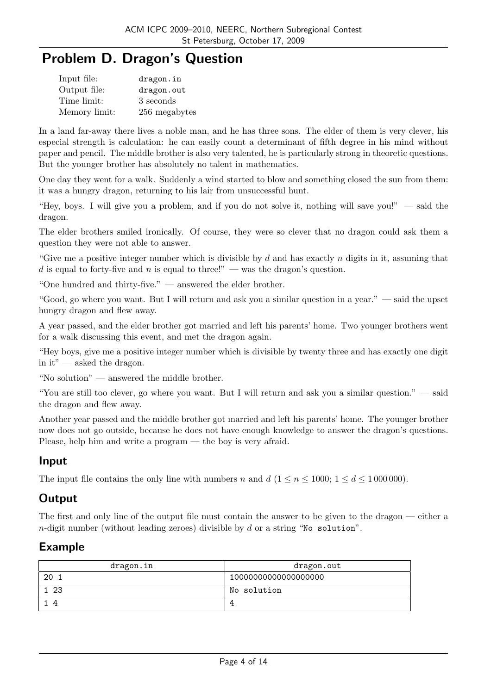## Problem D. Dragon's Question

| Input file:   | dragon.in     |
|---------------|---------------|
| Output file:  | dragon.out    |
| Time limit:   | 3 seconds     |
| Memory limit: | 256 megabytes |

In a land far-away there lives a noble man, and he has three sons. The elder of them is very clever, his especial strength is calculation: he can easily count a determinant of fifth degree in his mind without paper and pencil. The middle brother is also very talented, he is particularly strong in theoretic questions. But the younger brother has absolutely no talent in mathematics.

One day they went for a walk. Suddenly a wind started to blow and something closed the sun from them: it was a hungry dragon, returning to his lair from unsuccessful hunt.

"Hey, boys. I will give you a problem, and if you do not solve it, nothing will save you!" — said the dragon.

The elder brothers smiled ironically. Of course, they were so clever that no dragon could ask them a question they were not able to answer.

"Give me a positive integer number which is divisible by d and has exactly n digits in it, assuming that d is equal to forty-five and n is equal to three!" — was the dragon's question.

"One hundred and thirty-five." — answered the elder brother.

"Good, go where you want. But I will return and ask you a similar question in a year." — said the upset hungry dragon and flew away.

A year passed, and the elder brother got married and left his parents' home. Two younger brothers went for a walk discussing this event, and met the dragon again.

"Hey boys, give me a positive integer number which is divisible by twenty three and has exactly one digit in it" — asked the dragon.

"No solution" — answered the middle brother.

"You are still too clever, go where you want. But I will return and ask you a similar question." — said the dragon and flew away.

Another year passed and the middle brother got married and left his parents' home. The younger brother now does not go outside, because he does not have enough knowledge to answer the dragon's questions. Please, help him and write a program — the boy is very afraid.

#### Input

The input file contains the only line with numbers n and  $d (1 \le n \le 1000; 1 \le d \le 1000000)$ .

#### **Output**

The first and only line of the output file must contain the answer to be given to the dragon — either a  $n$ -digit number (without leading zeroes) divisible by  $d$  or a string "No solution".

| dragon.in | dragon.out           |
|-----------|----------------------|
| 20        | 10000000000000000000 |
| -23       | No solution          |
|           |                      |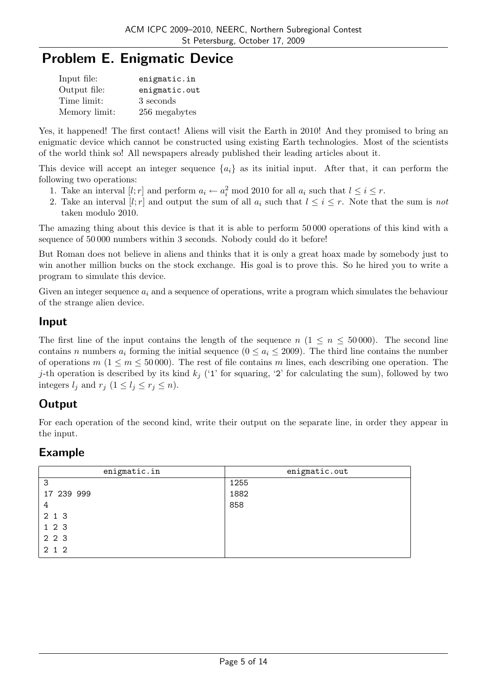# Problem E. Enigmatic Device

| Input file:   | enigmatic.in  |
|---------------|---------------|
| Output file:  | enigmatic.out |
| Time limit:   | 3 seconds     |
| Memory limit: | 256 megabytes |

Yes, it happened! The first contact! Aliens will visit the Earth in 2010! And they promised to bring an enigmatic device which cannot be constructed using existing Earth technologies. Most of the scientists of the world think so! All newspapers already published their leading articles about it.

This device will accept an integer sequence  ${a_i}$  as its initial input. After that, it can perform the following two operations:

- 1. Take an interval  $[l; r]$  and perform  $a_i \leftarrow a_i^2 \mod 2010$  for all  $a_i$  such that  $l \leq i \leq r$ .
- 2. Take an interval [l; r] and output the sum of all  $a_i$  such that  $l \leq i \leq r$ . Note that the sum is not taken modulo 2010.

The amazing thing about this device is that it is able to perform 50 000 operations of this kind with a sequence of 50 000 numbers within 3 seconds. Nobody could do it before!

But Roman does not believe in aliens and thinks that it is only a great hoax made by somebody just to win another million bucks on the stock exchange. His goal is to prove this. So he hired you to write a program to simulate this device.

Given an integer sequence  $a_i$  and a sequence of operations, write a program which simulates the behaviour of the strange alien device.

### Input

The first line of the input contains the length of the sequence  $n (1 \le n \le 50000)$ . The second line contains n numbers  $a_i$  forming the initial sequence  $(0 \le a_i \le 2009)$ . The third line contains the number of operations  $m (1 \le m \le 50000)$ . The rest of file contains m lines, each describing one operation. The j-th operation is described by its kind  $k_j$  ('1' for squaring, '2' for calculating the sum), followed by two integers  $l_j$  and  $r_j$   $(1 \leq l_j \leq r_j \leq n)$ .

## **Output**

For each operation of the second kind, write their output on the separate line, in order they appear in the input.

| enigmatic.in | enigmatic.out |
|--------------|---------------|
| 3            | 1255          |
| 17 239 999   | 1882          |
| 4            | 858           |
| 2 1 3        |               |
| 123          |               |
| 2 2 3        |               |
| 2 1 2        |               |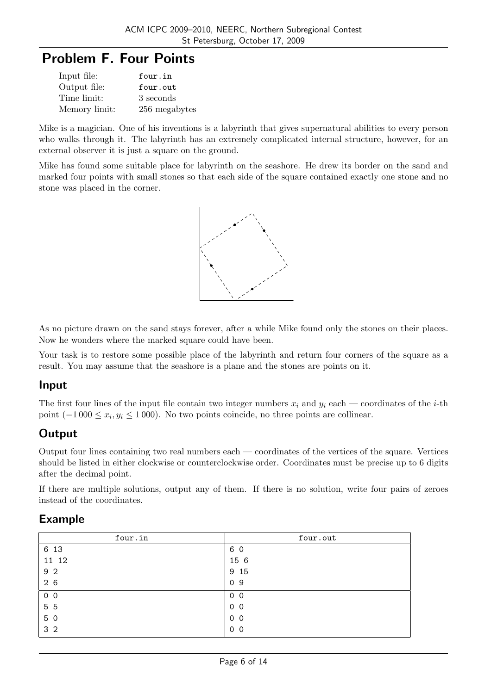## Problem F. Four Points

| Input file:   | four.in       |
|---------------|---------------|
| Output file:  | four.out      |
| Time limit:   | 3 seconds     |
| Memory limit: | 256 megabytes |

Mike is a magician. One of his inventions is a labyrinth that gives supernatural abilities to every person who walks through it. The labyrinth has an extremely complicated internal structure, however, for an external observer it is just a square on the ground.

Mike has found some suitable place for labyrinth on the seashore. He drew its border on the sand and marked four points with small stones so that each side of the square contained exactly one stone and no stone was placed in the corner.



As no picture drawn on the sand stays forever, after a while Mike found only the stones on their places. Now he wonders where the marked square could have been.

Your task is to restore some possible place of the labyrinth and return four corners of the square as a result. You may assume that the seashore is a plane and the stones are points on it.

#### Input

The first four lines of the input file contain two integer numbers  $x_i$  and  $y_i$  each — coordinates of the *i*-th point  $(-1000 \le x_i, y_i \le 1000)$ . No two points coincide, no three points are collinear.

## **Output**

Output four lines containing two real numbers each — coordinates of the vertices of the square. Vertices should be listed in either clockwise or counterclockwise order. Coordinates must be precise up to 6 digits after the decimal point.

If there are multiple solutions, output any of them. If there is no solution, write four pairs of zeroes instead of the coordinates.

| four.in        | four.out       |
|----------------|----------------|
| 6 13           | 6 0            |
| 11 12          | 15 6           |
| 9 2            | 9 15           |
| 26             | 09             |
| 0 <sub>0</sub> | 0 <sub>0</sub> |
| 5 5            | 0 <sub>0</sub> |
| 5 0            | 0 <sub>0</sub> |
| 3 <sub>2</sub> | 0 <sub>0</sub> |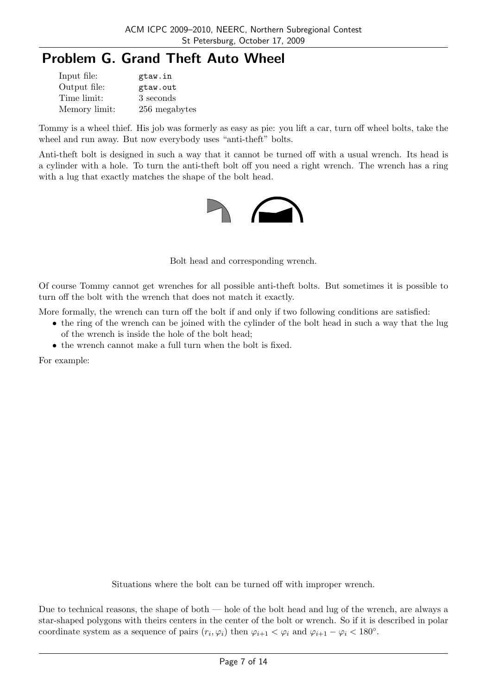# Problem G. Grand Theft Auto Wheel

| Input file:   | gtaw.in       |
|---------------|---------------|
| Output file:  | gtaw.out      |
| Time limit:   | 3 seconds     |
| Memory limit: | 256 megabytes |

Tommy is a wheel thief. His job was formerly as easy as pie: you lift a car, turn off wheel bolts, take the wheel and run away. But now everybody uses "anti-theft" bolts.

Anti-theft bolt is designed in such a way that it cannot be turned off with a usual wrench. Its head is a cylinder with a hole. To turn the anti-theft bolt off you need a right wrench. The wrench has a ring with a lug that exactly matches the shape of the bolt head.



Bolt head and corresponding wrench.

Of course Tommy cannot get wrenches for all possible anti-theft bolts. But sometimes it is possible to turn off the bolt with the wrench that does not match it exactly.

More formally, the wrench can turn off the bolt if and only if two following conditions are satisfied:

- the ring of the wrench can be joined with the cylinder of the bolt head in such a way that the lug of the wrench is inside the hole of the bolt head;
- the wrench cannot make a full turn when the bolt is fixed.

For example:

Situations where the bolt can be turned off with improper wrench.

Due to technical reasons, the shape of both — hole of the bolt head and lug of the wrench, are always a star-shaped polygons with theirs centers in the center of the bolt or wrench. So if it is described in polar coordinate system as a sequence of pairs  $(r_i, \varphi_i)$  then  $\varphi_{i+1} < \varphi_i$  and  $\varphi_{i+1} - \varphi_i < 180^\circ$ .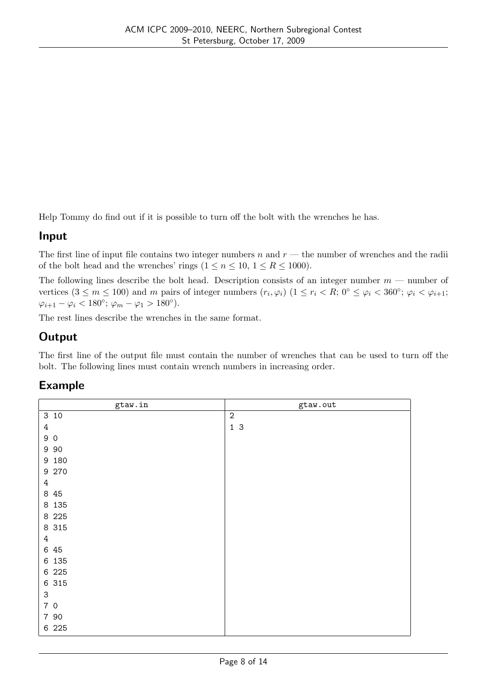Help Tommy do find out if it is possible to turn off the bolt with the wrenches he has.

### Input

The first line of input file contains two integer numbers n and  $r$  — the number of wrenches and the radii of the bolt head and the wrenches' rings  $(1 \le n \le 10, 1 \le R \le 1000)$ .

The following lines describe the bolt head. Description consists of an integer number  $m$  — number of vertices  $(3 \le m \le 100)$  and m pairs of integer numbers  $(r_i, \varphi_i)$   $(1 \le r_i < R; 0^\circ \le \varphi_i < 360^\circ; \varphi_i < \varphi_{i+1};$  $\varphi_{i+1} - \varphi_i < 180^\circ; \ \varphi_m - \varphi_1 > 180^\circ).$ 

The rest lines describe the wrenches in the same format.

## **Output**

The first line of the output file must contain the number of wrenches that can be used to turn off the bolt. The following lines must contain wrench numbers in increasing order.

| gtaw.in                   | gtaw.out         |
|---------------------------|------------------|
| 310                       | $\boldsymbol{2}$ |
| $\,4\,$                   | 1 <sup>3</sup>   |
| 90                        |                  |
| 9 9 0                     |                  |
| 9 180                     |                  |
| 9 270                     |                  |
| $\ensuremath{4}$          |                  |
| 8 45                      |                  |
| 8 1 3 5                   |                  |
| 8 2 2 5                   |                  |
| 8 315                     |                  |
| 4                         |                  |
| 6 45                      |                  |
| 6 135                     |                  |
| 6 225                     |                  |
| 6 315                     |                  |
| $\ensuremath{\mathsf{3}}$ |                  |
| 70                        |                  |
| 7 90                      |                  |
| 6 225                     |                  |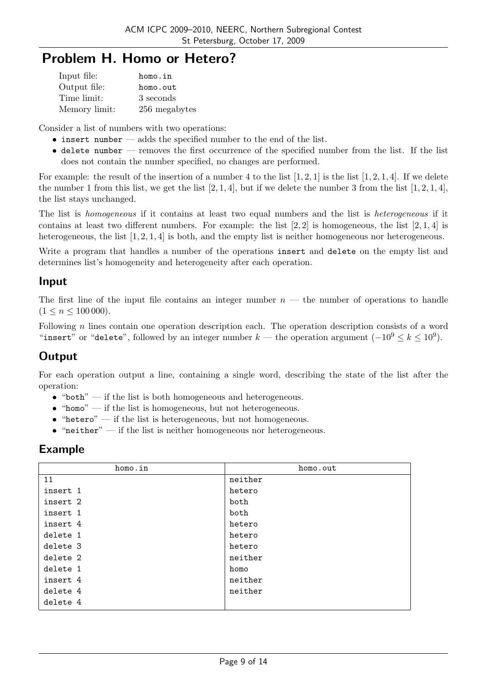## Problem H. Homo or Hetero?

| Input file:   | homo.in       |
|---------------|---------------|
| Output file:  | homo.out      |
| Time limit:   | 3 seconds     |
| Memory limit: | 256 megabytes |

Consider a list of numbers with two operations:

- $\bullet$  insert number adds the specified number to the end of the list.
- $\bullet$  delete number removes the first occurrence of the specified number from the list. If the list does not contain the number specified, no changes are performed.

For example: the result of the insertion of a number 4 to the list  $[1, 2, 1]$  is the list  $[1, 2, 1, 4]$ . If we delete the number 1 from this list, we get the list  $[2, 1, 4]$ , but if we delete the number 3 from the list  $[1, 2, 1, 4]$ , the list stays unchanged.

The list is homogeneous if it contains at least two equal numbers and the list is heterogeneous if it contains at least two different numbers. For example: the list  $[2, 2]$  is homogeneous, the list  $[2, 1, 4]$  is heterogeneous, the list [1, 2, 1, 4] is both, and the empty list is neither homogeneous nor heterogeneous.

Write a program that handles a number of the operations insert and delete on the empty list and determines list's homogeneity and heterogeneity after each operation.

### Input

The first line of the input file contains an integer number  $n-$  the number of operations to handle  $(1 \leq n \leq 100\,000)$ .

Following  $n$  lines contain one operation description each. The operation description consists of a word "insert" or "delete", followed by an integer number  $k$  — the operation argument  $(-10^9 \le k \le 10^9)$ .

## **Output**

For each operation output a line, containing a single word, describing the state of the list after the operation:

- $\bullet$  "both" if the list is both homogeneous and heterogeneous.
- $\bullet$  "homo" if the list is homogeneous, but not heterogeneous.
- $\bullet$  "hetero" if the list is heterogeneous, but not homogeneous.
- $\bullet$  "neither" if the list is neither homogeneous nor heterogeneous.

| homo.in  | homo.out |
|----------|----------|
| 11       | neither  |
| insert 1 | hetero   |
| insert 2 | both     |
| insert 1 | both     |
| insert 4 | hetero   |
| delete 1 | hetero   |
| delete 3 | hetero   |
| delete 2 | neither  |
| delete 1 | homo     |
| insert 4 | neither  |
| delete 4 | neither  |
| delete 4 |          |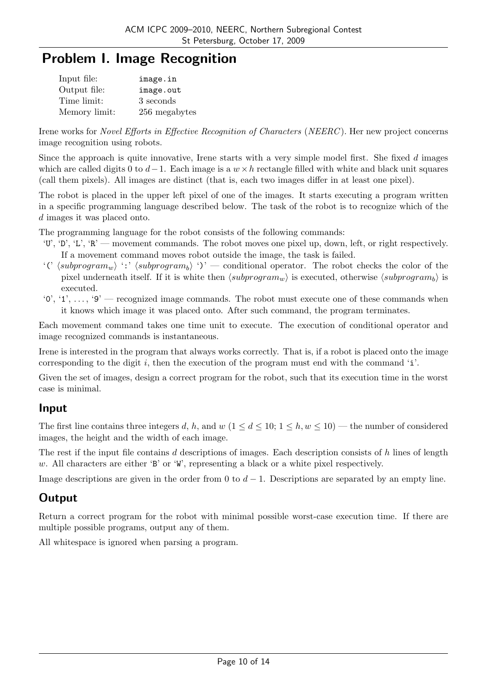## Problem I. Image Recognition

| Input file:   | image.in      |
|---------------|---------------|
| Output file:  | image.out     |
| Time limit:   | 3 seconds     |
| Memory limit: | 256 megabytes |

Irene works for Novel Efforts in Effective Recognition of Characters (NEERC ). Her new project concerns image recognition using robots.

Since the approach is quite innovative, Irene starts with a very simple model first. She fixed d images which are called digits 0 to  $d-1$ . Each image is a  $w \times h$  rectangle filled with white and black unit squares (call them pixels). All images are distinct (that is, each two images differ in at least one pixel).

The robot is placed in the upper left pixel of one of the images. It starts executing a program written in a specific programming language described below. The task of the robot is to recognize which of the d images it was placed onto.

The programming language for the robot consists of the following commands:

- 'U', 'D', 'L', 'R' movement commands. The robot moves one pixel up, down, left, or right respectively. If a movement command moves robot outside the image, the task is failed.
- '('  $\langle \text{subprogram}_w \rangle$ ':'  $\langle \text{subprogram}_b \rangle$ ')' conditional operator. The robot checks the color of the pixel underneath itself. If it is white then  $\langle subprogram_w \rangle$  is executed, otherwise  $\langle subprogram_b \rangle$  is executed.
- $'0', '1', \ldots, '9'$  recognized image commands. The robot must execute one of these commands when it knows which image it was placed onto. After such command, the program terminates.

Each movement command takes one time unit to execute. The execution of conditional operator and image recognized commands is instantaneous.

Irene is interested in the program that always works correctly. That is, if a robot is placed onto the image corresponding to the digit  $i$ , then the execution of the program must end with the command 'i'.

Given the set of images, design a correct program for the robot, such that its execution time in the worst case is minimal.

## Input

The first line contains three integers d, h, and w  $(1 \leq d \leq 10; 1 \leq h, w \leq 10)$  — the number of considered images, the height and the width of each image.

The rest if the input file contains d descriptions of images. Each description consists of h lines of length w. All characters are either 'B' or 'W', representing a black or a white pixel respectively.

Image descriptions are given in the order from 0 to  $d-1$ . Descriptions are separated by an empty line.

## **Output**

Return a correct program for the robot with minimal possible worst-case execution time. If there are multiple possible programs, output any of them.

All whitespace is ignored when parsing a program.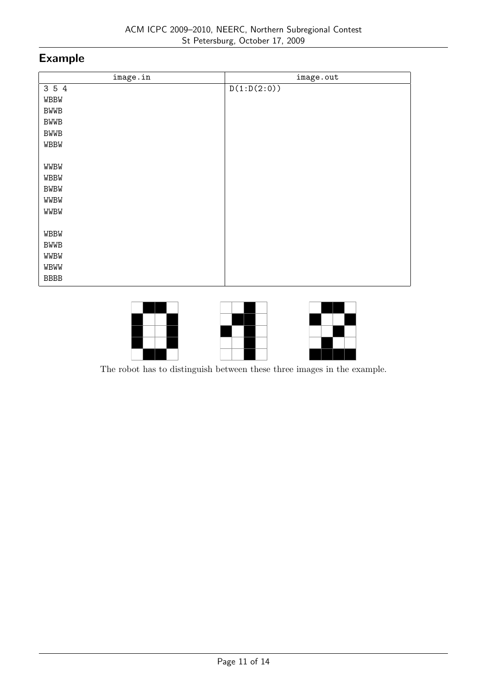| image.in    | image.out   |
|-------------|-------------|
| 3 5 4       | D(1:D(2:0)) |
| <b>WBBW</b> |             |
| <b>BWWB</b> |             |
| <b>BWWB</b> |             |
| <b>BWWB</b> |             |
| WBBW        |             |
|             |             |
| WWBW        |             |
| WBBW        |             |
| <b>BWBW</b> |             |
| WWBW        |             |
| WWBW        |             |
|             |             |
| <b>WBBW</b> |             |
| <b>BWWB</b> |             |
| WWBW        |             |
| WBWW        |             |
| <b>BBBB</b> |             |



The robot has to distinguish between these three images in the example.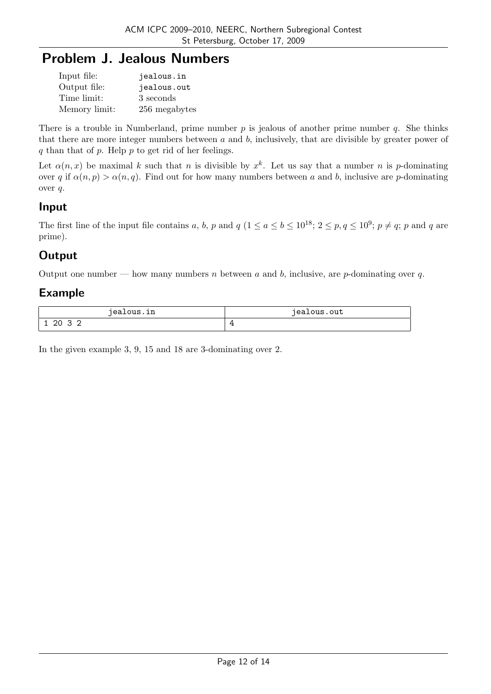# Problem J. Jealous Numbers

| Input file:   | jealous.in    |
|---------------|---------------|
| Output file:  | jealous.out   |
| Time limit:   | 3 seconds     |
| Memory limit: | 256 megabytes |

There is a trouble in Numberland, prime number  $p$  is jealous of another prime number  $q$ . She thinks that there are more integer numbers between  $a$  and  $b$ , inclusively, that are divisible by greater power of q than that of  $p$ . Help  $p$  to get rid of her feelings.

Let  $\alpha(n,x)$  be maximal k such that n is divisible by  $x^k$ . Let us say that a number n is p-dominating over q if  $\alpha(n, p) > \alpha(n, q)$ . Find out for how many numbers between a and b, inclusive are p-dominating over q.

## Input

The first line of the input file contains a, b, p and  $q$   $(1 \le a \le b \le 10^{18}; 2 \le p, q \le 10^9; p \ne q; p$  and q are prime).

## **Output**

Output one number — how many numbers n between a and b, inclusive, are p-dominating over q.

## Example

| iealous.in                 | iealous.out |
|----------------------------|-------------|
|                            | .           |
| 20<br>ر ِ<br>∼<br><b>.</b> |             |

In the given example 3, 9, 15 and 18 are 3-dominating over 2.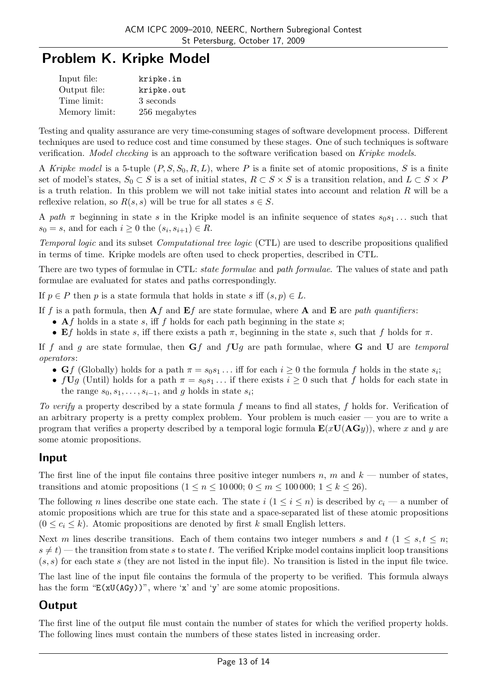# Problem K. Kripke Model

| Input file:   | kripke.in     |
|---------------|---------------|
| Output file:  | kripke.out    |
| Time limit:   | 3 seconds     |
| Memory limit: | 256 megabytes |

Testing and quality assurance are very time-consuming stages of software development process. Different techniques are used to reduce cost and time consumed by these stages. One of such techniques is software verification. *Model checking* is an approach to the software verification based on Kripke models.

A Kripke model is a 5-tuple  $(P, S, S_0, R, L)$ , where P is a finite set of atomic propositions, S is a finite set of model's states,  $S_0 \subset S$  is a set of initial states,  $R \subset S \times S$  is a transition relation, and  $L \subset S \times P$ is a truth relation. In this problem we will not take initial states into account and relation  $R$  will be a reflexive relation, so  $R(s, s)$  will be true for all states  $s \in S$ .

A path  $\pi$  beginning in state s in the Kripke model is an infinite sequence of states  $s_0s_1...$  such that  $s_0 = s$ , and for each  $i \geq 0$  the  $(s_i, s_{i+1}) \in R$ .

Temporal logic and its subset Computational tree logic (CTL) are used to describe propositions qualified in terms of time. Kripke models are often used to check properties, described in CTL.

There are two types of formulae in CTL: *state formulae* and *path formulae*. The values of state and path formulae are evaluated for states and paths correspondingly.

If  $p \in P$  then p is a state formula that holds in state s iff  $(s, p) \in L$ .

If f is a path formula, then  $\mathbf{A}f$  and  $\mathbf{E}f$  are state formulae, where  $\mathbf{A}$  and  $\mathbf{E}$  are path quantifiers:

- Af holds in a state s, iff f holds for each path beginning in the state s;
- Ef holds in state s, iff there exists a path  $\pi$ , beginning in the state s, such that f holds for  $\pi$ .

If f and g are state formulae, then  $Gf$  and  $fUg$  are path formulae, where G and U are temporal operators:

- Gf (Globally) holds for a path  $\pi = s_0 s_1 \dots$  iff for each  $i \geq 0$  the formula f holds in the state  $s_i$ ;
- $fUg$  (Until) holds for a path  $\pi = s_0s_1 \dots$  if there exists  $i \geq 0$  such that f holds for each state in the range  $s_0, s_1, \ldots, s_{i-1}$ , and g holds in state  $s_i$ ;

To verify a property described by a state formula f means to find all states, f holds for. Verification of an arbitrary property is a pretty complex problem. Your problem is much easier — you are to write a program that verifies a property described by a temporal logic formula  $\mathbf{E}(x\mathbf{U}(\mathbf{A}\mathbf{G}y))$ , where x and y are some atomic propositions.

#### Input

The first line of the input file contains three positive integer numbers n, m and  $k$  — number of states, transitions and atomic propositions  $(1 \le n \le 10000; 0 \le m \le 100000; 1 \le k \le 26)$ .

The following n lines describe one state each. The state  $i$   $(1 \leq i \leq n)$  is described by  $c_i$  — a number of atomic propositions which are true for this state and a space-separated list of these atomic propositions  $(0 \leq c_i \leq k)$ . Atomic propositions are denoted by first k small English letters.

Next m lines describe transitions. Each of them contains two integer numbers s and  $t$  ( $1 \leq s, t \leq n$ ;  $s \neq t$ ) — the transition from state s to state t. The verified Kripke model contains implicit loop transitions  $(s, s)$  for each state s (they are not listed in the input file). No transition is listed in the input file twice.

The last line of the input file contains the formula of the property to be verified. This formula always has the form " $E(xU(AGy))$ ", where 'x' and 'y' are some atomic propositions.

## **Output**

The first line of the output file must contain the number of states for which the verified property holds. The following lines must contain the numbers of these states listed in increasing order.